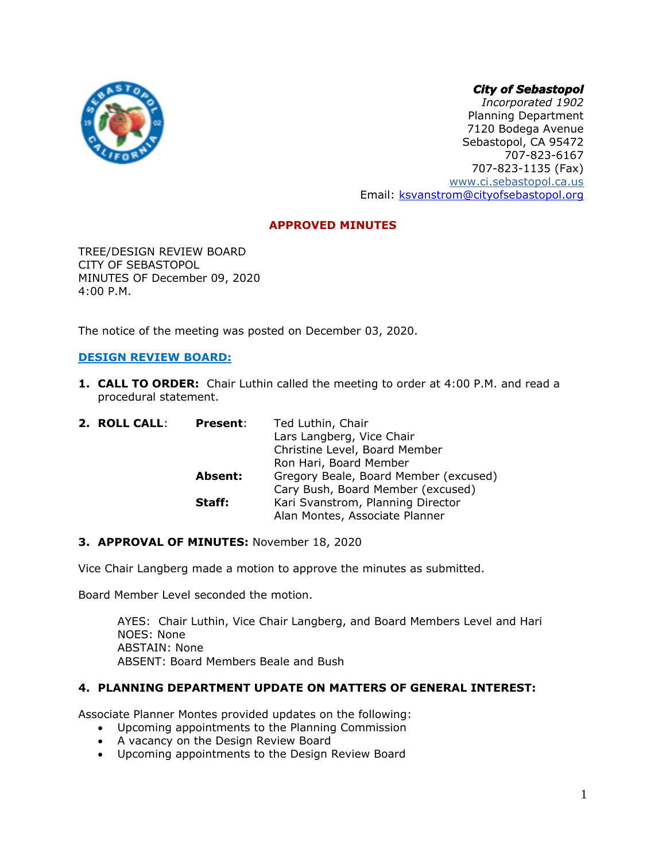# *City of Sebastopol*



*Incorporated 1902* Planning Department 7120 Bodega Avenue Sebastopol, CA 95472 707-823-6167 707-823-1135 (Fax) [www.ci.sebastopol.ca.us](http://www.ci.sebastopol.ca.us/) Email: [ksvanstrom@cityofsebastopol.org](mailto:ksvanstrom@cityofsebastopol.org)

# **APPROVED MINUTES**

TREE/DESIGN REVIEW BOARD CITY OF SEBASTOPOL MINUTES OF December 09, 2020 4:00 P.M.

The notice of the meeting was posted on December 03, 2020.

# **DESIGN REVIEW BOARD:**

**1. CALL TO ORDER:** Chair Luthin called the meeting to order at 4:00 P.M. and read a procedural statement.

| 2. ROLL CALL: | <b>Present:</b> | Ted Luthin, Chair                     |
|---------------|-----------------|---------------------------------------|
|               |                 | Lars Langberg, Vice Chair             |
|               |                 | Christine Level, Board Member         |
|               |                 | Ron Hari, Board Member                |
|               | <b>Absent:</b>  | Gregory Beale, Board Member (excused) |
|               |                 | Cary Bush, Board Member (excused)     |
|               | Staff:          | Kari Svanstrom, Planning Director     |
|               |                 | Alan Montes, Associate Planner        |

# **3. APPROVAL OF MINUTES:** November 18, 2020

Vice Chair Langberg made a motion to approve the minutes as submitted.

Board Member Level seconded the motion.

AYES: Chair Luthin, Vice Chair Langberg, and Board Members Level and Hari NOES: None ABSTAIN: None ABSENT: Board Members Beale and Bush

# **4. PLANNING DEPARTMENT UPDATE ON MATTERS OF GENERAL INTEREST:**

Associate Planner Montes provided updates on the following:

- Upcoming appointments to the Planning Commission
- A vacancy on the Design Review Board
- Upcoming appointments to the Design Review Board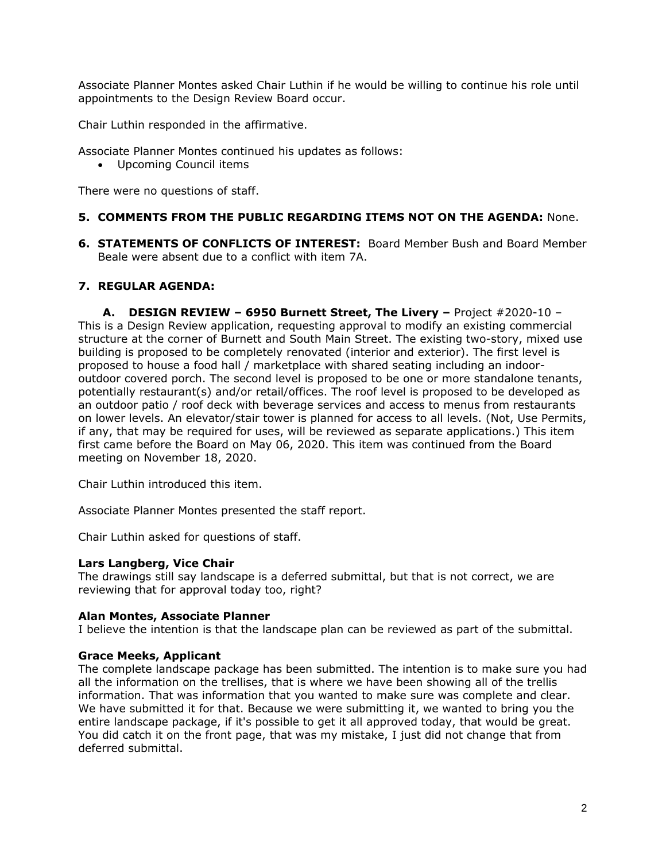Associate Planner Montes asked Chair Luthin if he would be willing to continue his role until appointments to the Design Review Board occur.

Chair Luthin responded in the affirmative.

Associate Planner Montes continued his updates as follows:

• Upcoming Council items

There were no questions of staff.

# **5. COMMENTS FROM THE PUBLIC REGARDING ITEMS NOT ON THE AGENDA:** None.

**6. STATEMENTS OF CONFLICTS OF INTEREST:** Board Member Bush and Board Member Beale were absent due to a conflict with item 7A.

# **7. REGULAR AGENDA:**

**A. DESIGN REVIEW – 6950 Burnett Street, The Livery –** Project #2020-10 – This is a Design Review application, requesting approval to modify an existing commercial structure at the corner of Burnett and South Main Street. The existing two-story, mixed use building is proposed to be completely renovated (interior and exterior). The first level is proposed to house a food hall / marketplace with shared seating including an indooroutdoor covered porch. The second level is proposed to be one or more standalone tenants, potentially restaurant(s) and/or retail/offices. The roof level is proposed to be developed as an outdoor patio / roof deck with beverage services and access to menus from restaurants on lower levels. An elevator/stair tower is planned for access to all levels. (Not, Use Permits, if any, that may be required for uses, will be reviewed as separate applications.) This item first came before the Board on May 06, 2020. This item was continued from the Board meeting on November 18, 2020.

Chair Luthin introduced this item.

Associate Planner Montes presented the staff report.

Chair Luthin asked for questions of staff.

# **Lars Langberg, Vice Chair**

The drawings still say landscape is a deferred submittal, but that is not correct, we are reviewing that for approval today too, right?

# **Alan Montes, Associate Planner**

I believe the intention is that the landscape plan can be reviewed as part of the submittal.

# **Grace Meeks, Applicant**

The complete landscape package has been submitted. The intention is to make sure you had all the information on the trellises, that is where we have been showing all of the trellis information. That was information that you wanted to make sure was complete and clear. We have submitted it for that. Because we were submitting it, we wanted to bring you the entire landscape package, if it's possible to get it all approved today, that would be great. You did catch it on the front page, that was my mistake, I just did not change that from deferred submittal.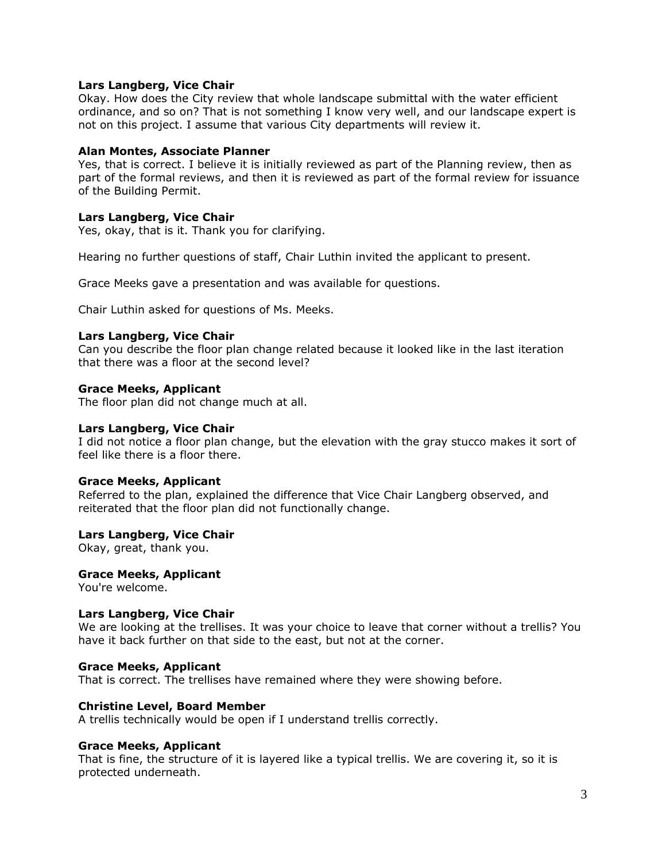## **Lars Langberg, Vice Chair**

Okay. How does the City review that whole landscape submittal with the water efficient ordinance, and so on? That is not something I know very well, and our landscape expert is not on this project. I assume that various City departments will review it.

### **Alan Montes, Associate Planner**

Yes, that is correct. I believe it is initially reviewed as part of the Planning review, then as part of the formal reviews, and then it is reviewed as part of the formal review for issuance of the Building Permit.

## **Lars Langberg, Vice Chair**

Yes, okay, that is it. Thank you for clarifying.

Hearing no further questions of staff, Chair Luthin invited the applicant to present.

Grace Meeks gave a presentation and was available for questions.

Chair Luthin asked for questions of Ms. Meeks.

### **Lars Langberg, Vice Chair**

Can you describe the floor plan change related because it looked like in the last iteration that there was a floor at the second level?

### **Grace Meeks, Applicant**

The floor plan did not change much at all.

### **Lars Langberg, Vice Chair**

I did not notice a floor plan change, but the elevation with the gray stucco makes it sort of feel like there is a floor there.

### **Grace Meeks, Applicant**

Referred to the plan, explained the difference that Vice Chair Langberg observed, and reiterated that the floor plan did not functionally change.

### **Lars Langberg, Vice Chair**

Okay, great, thank you.

### **Grace Meeks, Applicant**

You're welcome.

### **Lars Langberg, Vice Chair**

We are looking at the trellises. It was your choice to leave that corner without a trellis? You have it back further on that side to the east, but not at the corner.

### **Grace Meeks, Applicant**

That is correct. The trellises have remained where they were showing before.

### **Christine Level, Board Member**

A trellis technically would be open if I understand trellis correctly.

### **Grace Meeks, Applicant**

That is fine, the structure of it is layered like a typical trellis. We are covering it, so it is protected underneath.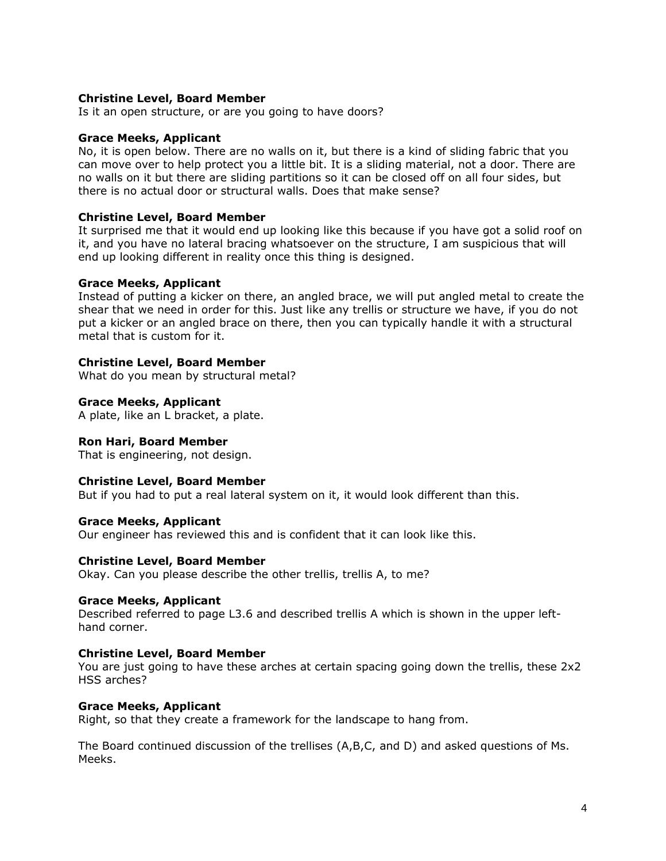# **Christine Level, Board Member**

Is it an open structure, or are you going to have doors?

### **Grace Meeks, Applicant**

No, it is open below. There are no walls on it, but there is a kind of sliding fabric that you can move over to help protect you a little bit. It is a sliding material, not a door. There are no walls on it but there are sliding partitions so it can be closed off on all four sides, but there is no actual door or structural walls. Does that make sense?

#### **Christine Level, Board Member**

It surprised me that it would end up looking like this because if you have got a solid roof on it, and you have no lateral bracing whatsoever on the structure, I am suspicious that will end up looking different in reality once this thing is designed.

#### **Grace Meeks, Applicant**

Instead of putting a kicker on there, an angled brace, we will put angled metal to create the shear that we need in order for this. Just like any trellis or structure we have, if you do not put a kicker or an angled brace on there, then you can typically handle it with a structural metal that is custom for it.

#### **Christine Level, Board Member**

What do you mean by structural metal?

#### **Grace Meeks, Applicant**

A plate, like an L bracket, a plate.

### **Ron Hari, Board Member**

That is engineering, not design.

#### **Christine Level, Board Member**

But if you had to put a real lateral system on it, it would look different than this.

#### **Grace Meeks, Applicant**

Our engineer has reviewed this and is confident that it can look like this.

#### **Christine Level, Board Member**

Okay. Can you please describe the other trellis, trellis A, to me?

### **Grace Meeks, Applicant**

Described referred to page L3.6 and described trellis A which is shown in the upper lefthand corner.

#### **Christine Level, Board Member**

You are just going to have these arches at certain spacing going down the trellis, these 2x2 HSS arches?

#### **Grace Meeks, Applicant**

Right, so that they create a framework for the landscape to hang from.

The Board continued discussion of the trellises (A,B,C, and D) and asked questions of Ms. Meeks.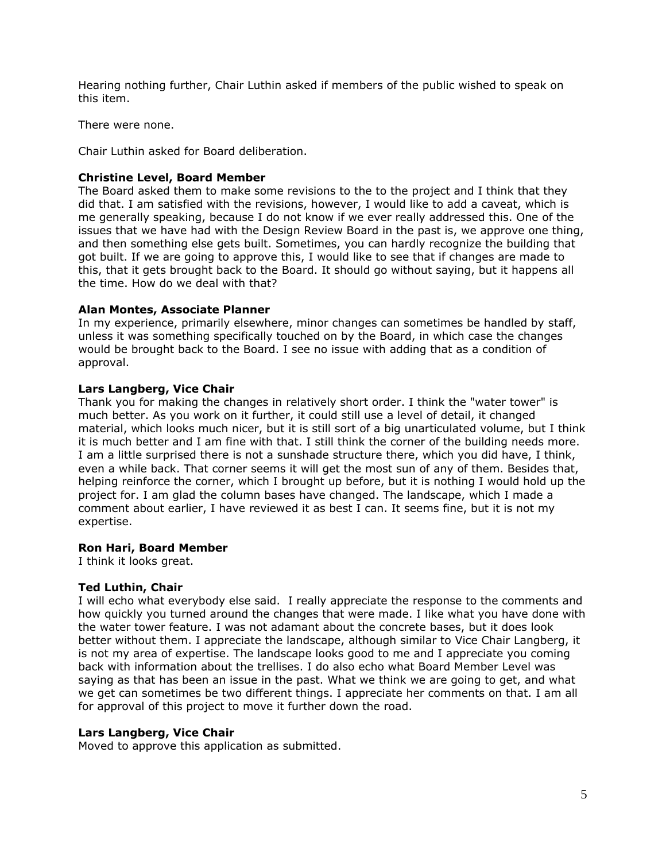Hearing nothing further, Chair Luthin asked if members of the public wished to speak on this item.

There were none.

Chair Luthin asked for Board deliberation.

# **Christine Level, Board Member**

The Board asked them to make some revisions to the to the project and I think that they did that. I am satisfied with the revisions, however, I would like to add a caveat, which is me generally speaking, because I do not know if we ever really addressed this. One of the issues that we have had with the Design Review Board in the past is, we approve one thing, and then something else gets built. Sometimes, you can hardly recognize the building that got built. If we are going to approve this, I would like to see that if changes are made to this, that it gets brought back to the Board. It should go without saying, but it happens all the time. How do we deal with that?

## **Alan Montes, Associate Planner**

In my experience, primarily elsewhere, minor changes can sometimes be handled by staff, unless it was something specifically touched on by the Board, in which case the changes would be brought back to the Board. I see no issue with adding that as a condition of approval.

# **Lars Langberg, Vice Chair**

Thank you for making the changes in relatively short order. I think the "water tower" is much better. As you work on it further, it could still use a level of detail, it changed material, which looks much nicer, but it is still sort of a big unarticulated volume, but I think it is much better and I am fine with that. I still think the corner of the building needs more. I am a little surprised there is not a sunshade structure there, which you did have, I think, even a while back. That corner seems it will get the most sun of any of them. Besides that, helping reinforce the corner, which I brought up before, but it is nothing I would hold up the project for. I am glad the column bases have changed. The landscape, which I made a comment about earlier, I have reviewed it as best I can. It seems fine, but it is not my expertise.

### **Ron Hari, Board Member**

I think it looks great.

### **Ted Luthin, Chair**

I will echo what everybody else said. I really appreciate the response to the comments and how quickly you turned around the changes that were made. I like what you have done with the water tower feature. I was not adamant about the concrete bases, but it does look better without them. I appreciate the landscape, although similar to Vice Chair Langberg, it is not my area of expertise. The landscape looks good to me and I appreciate you coming back with information about the trellises. I do also echo what Board Member Level was saying as that has been an issue in the past. What we think we are going to get, and what we get can sometimes be two different things. I appreciate her comments on that. I am all for approval of this project to move it further down the road.

### **Lars Langberg, Vice Chair**

Moved to approve this application as submitted.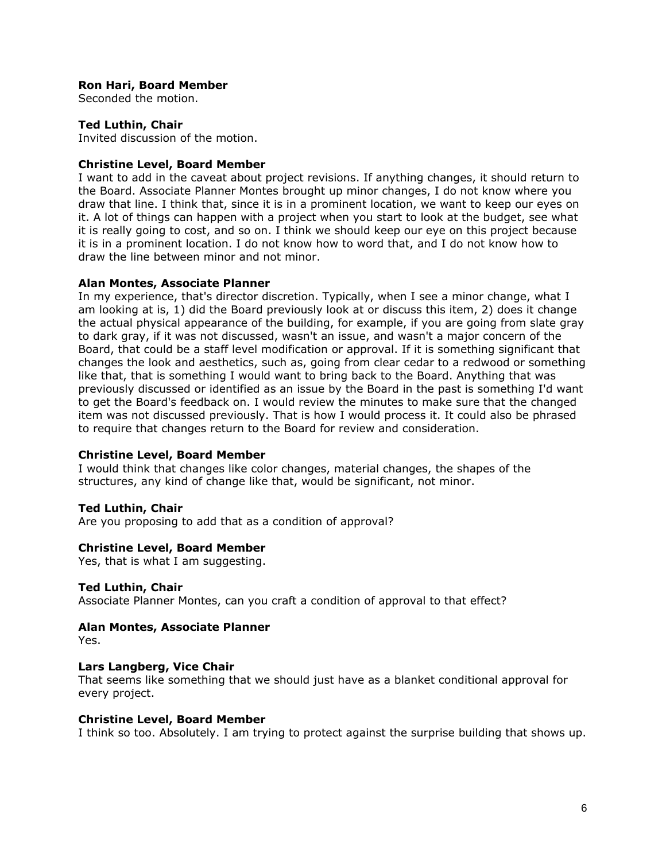# **Ron Hari, Board Member**

Seconded the motion.

## **Ted Luthin, Chair**

Invited discussion of the motion.

## **Christine Level, Board Member**

I want to add in the caveat about project revisions. If anything changes, it should return to the Board. Associate Planner Montes brought up minor changes, I do not know where you draw that line. I think that, since it is in a prominent location, we want to keep our eyes on it. A lot of things can happen with a project when you start to look at the budget, see what it is really going to cost, and so on. I think we should keep our eye on this project because it is in a prominent location. I do not know how to word that, and I do not know how to draw the line between minor and not minor.

## **Alan Montes, Associate Planner**

In my experience, that's director discretion. Typically, when I see a minor change, what I am looking at is, 1) did the Board previously look at or discuss this item, 2) does it change the actual physical appearance of the building, for example, if you are going from slate gray to dark gray, if it was not discussed, wasn't an issue, and wasn't a major concern of the Board, that could be a staff level modification or approval. If it is something significant that changes the look and aesthetics, such as, going from clear cedar to a redwood or something like that, that is something I would want to bring back to the Board. Anything that was previously discussed or identified as an issue by the Board in the past is something I'd want to get the Board's feedback on. I would review the minutes to make sure that the changed item was not discussed previously. That is how I would process it. It could also be phrased to require that changes return to the Board for review and consideration.

### **Christine Level, Board Member**

I would think that changes like color changes, material changes, the shapes of the structures, any kind of change like that, would be significant, not minor.

# **Ted Luthin, Chair**

Are you proposing to add that as a condition of approval?

### **Christine Level, Board Member**

Yes, that is what I am suggesting.

### **Ted Luthin, Chair**

Associate Planner Montes, can you craft a condition of approval to that effect?

# **Alan Montes, Associate Planner**

Yes.

### **Lars Langberg, Vice Chair**

That seems like something that we should just have as a blanket conditional approval for every project.

## **Christine Level, Board Member**

I think so too. Absolutely. I am trying to protect against the surprise building that shows up.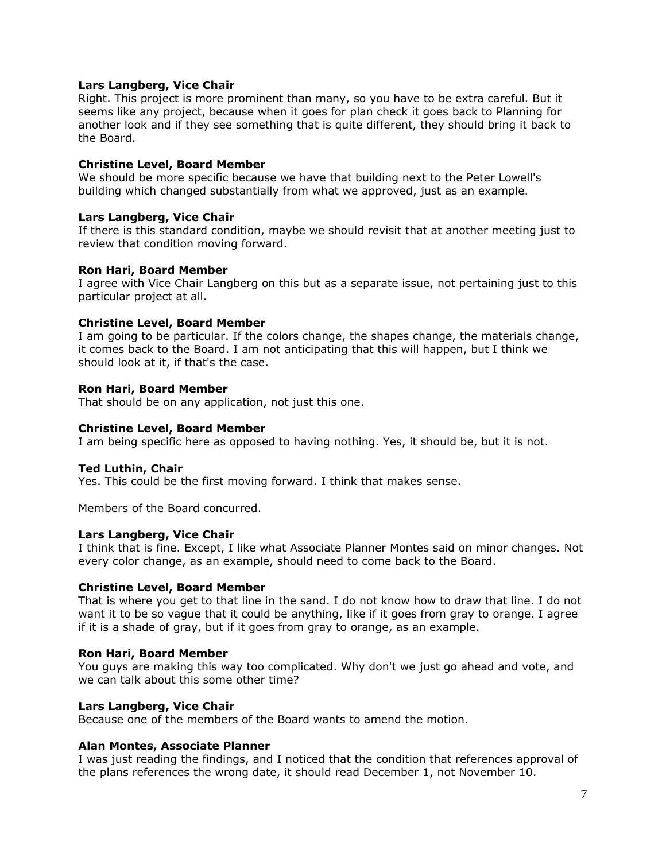# **Lars Langberg, Vice Chair**

Right. This project is more prominent than many, so you have to be extra careful. But it seems like any project, because when it goes for plan check it goes back to Planning for another look and if they see something that is quite different, they should bring it back to the Board.

### **Christine Level, Board Member**

We should be more specific because we have that building next to the Peter Lowell's building which changed substantially from what we approved, just as an example.

### **Lars Langberg, Vice Chair**

If there is this standard condition, maybe we should revisit that at another meeting just to review that condition moving forward.

### **Ron Hari, Board Member**

I agree with Vice Chair Langberg on this but as a separate issue, not pertaining just to this particular project at all.

## **Christine Level, Board Member**

I am going to be particular. If the colors change, the shapes change, the materials change, it comes back to the Board. I am not anticipating that this will happen, but I think we should look at it, if that's the case.

## **Ron Hari, Board Member**

That should be on any application, not just this one.

## **Christine Level, Board Member**

I am being specific here as opposed to having nothing. Yes, it should be, but it is not.

### **Ted Luthin, Chair**

Yes. This could be the first moving forward. I think that makes sense.

Members of the Board concurred.

### **Lars Langberg, Vice Chair**

I think that is fine. Except, I like what Associate Planner Montes said on minor changes. Not every color change, as an example, should need to come back to the Board.

### **Christine Level, Board Member**

That is where you get to that line in the sand. I do not know how to draw that line. I do not want it to be so vague that it could be anything, like if it goes from gray to orange. I agree if it is a shade of gray, but if it goes from gray to orange, as an example.

### **Ron Hari, Board Member**

You guys are making this way too complicated. Why don't we just go ahead and vote, and we can talk about this some other time?

### **Lars Langberg, Vice Chair**

Because one of the members of the Board wants to amend the motion.

### **Alan Montes, Associate Planner**

I was just reading the findings, and I noticed that the condition that references approval of the plans references the wrong date, it should read December 1, not November 10.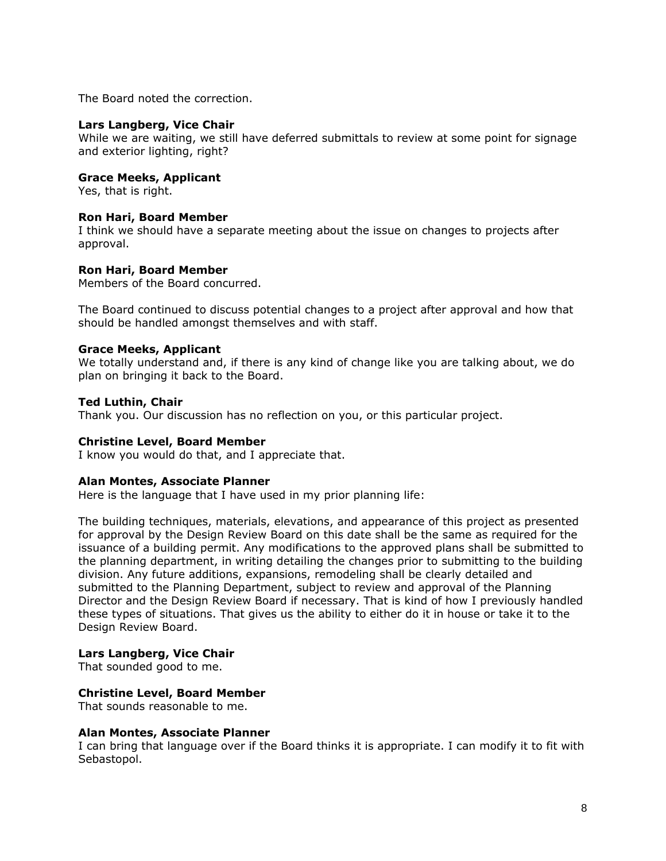The Board noted the correction.

### **Lars Langberg, Vice Chair**

While we are waiting, we still have deferred submittals to review at some point for signage and exterior lighting, right?

## **Grace Meeks, Applicant**

Yes, that is right.

### **Ron Hari, Board Member**

I think we should have a separate meeting about the issue on changes to projects after approval.

## **Ron Hari, Board Member**

Members of the Board concurred.

The Board continued to discuss potential changes to a project after approval and how that should be handled amongst themselves and with staff.

## **Grace Meeks, Applicant**

We totally understand and, if there is any kind of change like you are talking about, we do plan on bringing it back to the Board.

## **Ted Luthin, Chair**

Thank you. Our discussion has no reflection on you, or this particular project.

### **Christine Level, Board Member**

I know you would do that, and I appreciate that.

### **Alan Montes, Associate Planner**

Here is the language that I have used in my prior planning life:

The building techniques, materials, elevations, and appearance of this project as presented for approval by the Design Review Board on this date shall be the same as required for the issuance of a building permit. Any modifications to the approved plans shall be submitted to the planning department, in writing detailing the changes prior to submitting to the building division. Any future additions, expansions, remodeling shall be clearly detailed and submitted to the Planning Department, subject to review and approval of the Planning Director and the Design Review Board if necessary. That is kind of how I previously handled these types of situations. That gives us the ability to either do it in house or take it to the Design Review Board.

### **Lars Langberg, Vice Chair**

That sounded good to me.

## **Christine Level, Board Member**

That sounds reasonable to me.

### **Alan Montes, Associate Planner**

I can bring that language over if the Board thinks it is appropriate. I can modify it to fit with Sebastopol.